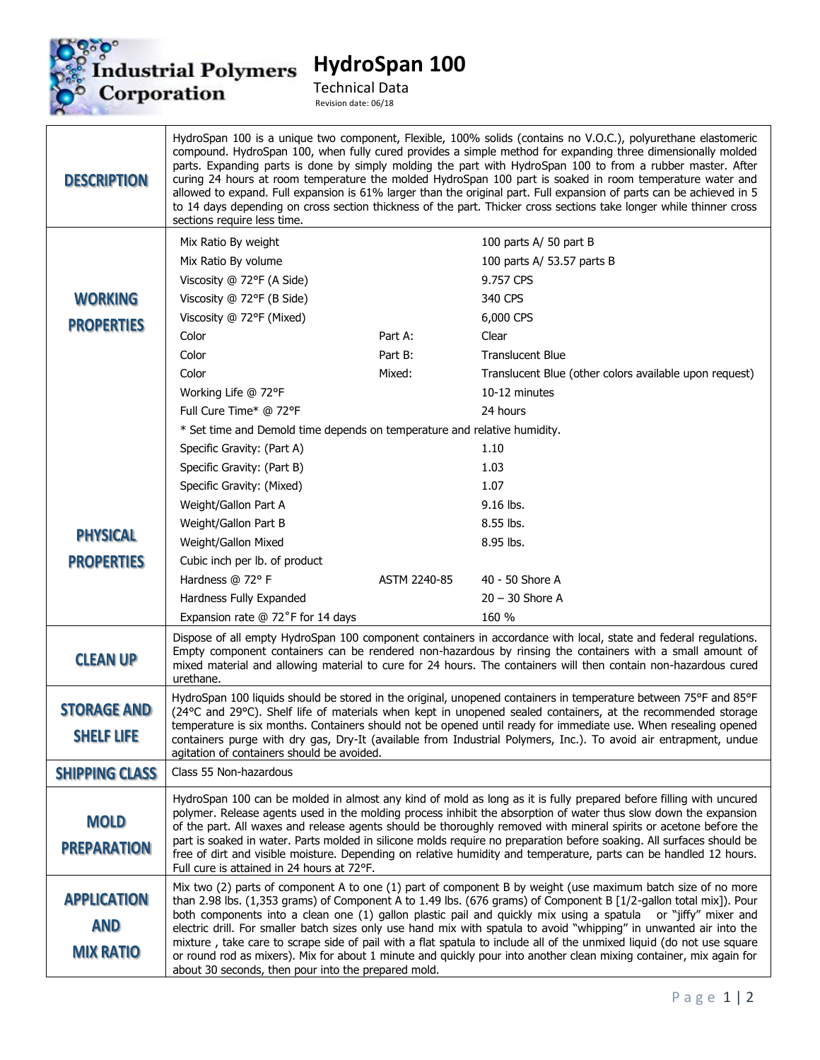

## **HydroSpan 100**

Technical Data Revision date: 06/18

HydroSpan 100 is a unique two component, Flexible, 100% solids (contains no V.O.C.), polyurethane elastomeric compound. HydroSpan 100, when fully cured provides a simple method for expanding three dimensionally molded parts. Expanding parts is done by simply molding the part with HydroSpan 100 to from a rubber master. After **DESCRIPTION** curing 24 hours at room temperature the molded HydroSpan 100 part is soaked in room temperature water and allowed to expand. Full expansion is 61% larger than the original part. Full expansion of parts can be achieved in 5 to 14 days depending on cross section thickness of the part. Thicker cross sections take longer while thinner cross sections require less time. Mix Ratio By weight 100 parts A/ 50 part B Mix Ratio By volume 100 parts A/ 53.57 parts B Viscosity @ 72°F (A Side) 9.757 CPS Viscosity @ 72°F (B Side) 340 CPS **WORKING** Viscosity @ 72°F (Mixed) 6,000 CPS **PROPERTIES** Color **Part A:** Clear Color **Part B:** Part B: Translucent Blue Color **Mixed:** Translucent Blue (other colors available upon request) Working Life @ 72°F 10-12 minutes Full Cure Time\* @ 72°F 24 hours \* Set time and Demold time depends on temperature and relative humidity. Specific Gravity: (Part A) 1.10 Specific Gravity: (Part B) 1.03 Specific Gravity: (Mixed) 1.07 Weight/Gallon Part A 9.16 lbs. Weight/Gallon Part B 8.55 lbs. **PHYSICAL** Weight/Gallon Mixed 8.95 lbs. **PROPERTIES** Cubic inch per lb. of product Hardness @ 72° F ASTM 2240-85 40 - 50 Shore A Hardness Fully Expanded 20 – 30 Shore A Expansion rate @ 72°F for 14 days 160 % Dispose of all empty HydroSpan 100 component containers in accordance with local, state and federal regulations. Empty component containers can be rendered non-hazardous by rinsing the containers with a small amount of **CLEAN UP** mixed material and allowing material to cure for 24 hours. The containers will then contain non-hazardous cured urethane. HydroSpan 100 liquids should be stored in the original, unopened containers in temperature between 75°F and 85°F **STORAGE AND** (24°C and 29°C). Shelf life of materials when kept in unopened sealed containers, at the recommended storage temperature is six months. Containers should not be opened until ready for immediate use. When resealing opened **SHELF LIFE** containers purge with dry gas, Dry-It (available from Industrial Polymers, Inc.). To avoid air entrapment, undue agitation of containers should be avoided. Class 55 Non-hazardous **SHIPPING CLASS** HydroSpan 100 can be molded in almost any kind of mold as long as it is fully prepared before filling with uncured polymer. Release agents used in the molding process inhibit the absorption of water thus slow down the expansion **MOLD** of the part. All waxes and release agents should be thoroughly removed with mineral spirits or acetone before the part is soaked in water. Parts molded in silicone molds require no preparation before soaking. All surfaces should be **PREPARATION** free of dirt and visible moisture. Depending on relative humidity and temperature, parts can be handled 12 hours. Full cure is attained in 24 hours at 72°F. Mix two (2) parts of component A to one (1) part of component B by weight (use maximum batch size of no more **APPLICATION** than 2.98 lbs. (1,353 grams) of Component A to 1.49 lbs. (676 grams) of Component B [1/2-gallon total mix]). Pour both components into a clean one (1) gallon plastic pail and quickly mix using a spatula or "jiffy" mixer and **AND** electric drill. For smaller batch sizes only use hand mix with spatula to avoid "whipping" in unwanted air into the mixture , take care to scrape side of pail with a flat spatula to include all of the unmixed liquid (do not use square **MIX RATIO** or round rod as mixers). Mix for about 1 minute and quickly pour into another clean mixing container, mix again for about 30 seconds, then pour into the prepared mold.